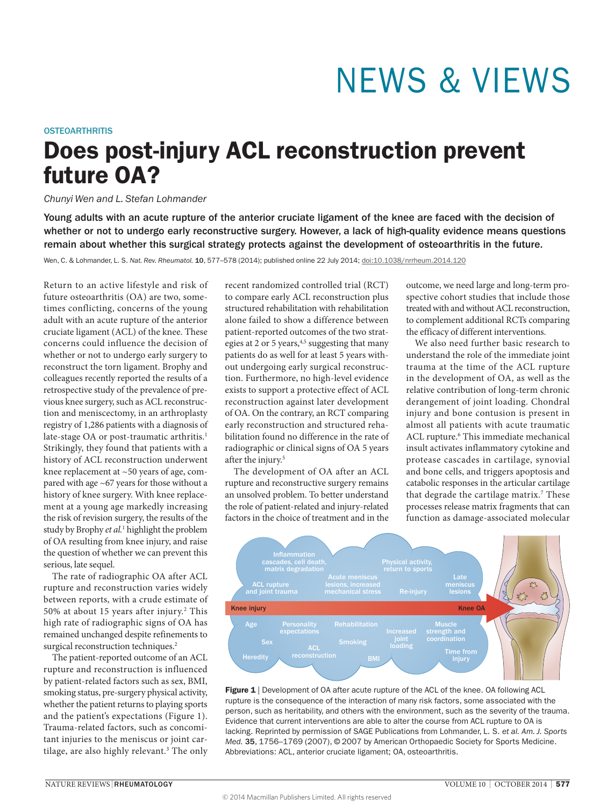# NEWS & VIEWS

### **OSTEOARTHRITIS**

# Does post-injury ACL reconstruction prevent future OA?

## *Chunyi Wen and L. Stefan Lohmander*

Young adults with an acute rupture of the anterior cruciate ligament of the knee are faced with the decision of whether or not to undergo early reconstructive surgery. However, a lack of high-quality evidence means questions remain about whether this surgical strategy protects against the development of osteoarthritis in the future.

Wen, C. & Lohmander, L. S. *Nat. Rev. Rheumatol.* 10, 577–578 (2014); published online 22 July 2014; [doi:10.1038/nrrheum.2014.120](http://www.nature.com/doifinder/10.1038/nrrheum.2014.120)

Return to an active lifestyle and risk of future osteoarthritis (OA) are two, sometimes conflicting, concerns of the young adult with an acute rupture of the anterior cruciate ligament (ACL) of the knee. These concerns could influence the decision of whether or not to undergo early surgery to reconstruct the torn ligament. Brophy and colleagues recently reported the results of a retrospective study of the prevalence of previous knee surgery, such as ACL reconstruction and meniscectomy, in an arthroplasty registry of 1,286 patients with a diagnosis of late-stage OA or post-traumatic arthritis.<sup>1</sup> Strikingly, they found that patients with a history of ACL reconstruction underwent knee replacement at ~50 years of age, compared with age ~67 years for those without a history of knee surgery. With knee replacement at a young age markedly increasing the risk of revision surgery, the results of the study by Brophy *et al.*<sup>1</sup> highlight the problem of OA resulting from knee injury, and raise the question of whether we can prevent this serious, late sequel.

The rate of radiographic OA after ACL rupture and reconstruction varies widely between reports, with a crude estimate of 50% at about 15 years after injury.<sup>2</sup> This high rate of radiographic signs of OA has remained unchanged despite refinements to surgical reconstruction techniques.<sup>2</sup>

The patient-reported outcome of an ACL rupture and reconstruction is influenced by patient-related factors such as sex, BMI, smoking status, pre-surgery physical activity, whether the patient returns to playing sports and the patient's expectations (Figure 1). Trauma-related factors, such as concomitant injuries to the meniscus or joint cartilage, are also highly relevant.3 The only

recent randomized controlled trial (RCT) to compare early ACL reconstruction plus structured rehabilitation with rehabilitation alone failed to show a difference between patient-reported outcomes of the two strategies at 2 or 5 years,<sup>4,5</sup> suggesting that many patients do as well for at least 5 years without undergoing early surgical reconstruction. Furthermore, no high-level evidence exists to support a protective effect of ACL reconstruction against later development of OA. On the contrary, an RCT comparing early reconstruction and structured rehabilitation found no difference in the rate of radiographic or clinical signs of OA 5 years after the injury.<sup>5</sup>

The development of OA after an ACL rupture and reconstructive surgery remains an unsolved problem. To better understand the role of patient-related and injury-related factors in the choice of treatment and in the

outcome, we need large and long-term prospective cohort studies that include those treated with and without ACL reconstruction, to complement additional RCTs comparing the efficacy of different interventions.

We also need further basic research to understand the role of the immediate joint trauma at the time of the ACL rupture in the development of OA, as well as the relative contribution of long-term chronic derangement of joint loading. Chondral injury and bone contusion is present in almost all patients with acute traumatic ACL rupture.<sup>6</sup> This immediate mechanical insult activates inflammatory cytokine and protease cascades in cartilage, synovial and bone cells, and triggers apoptosis and catabolic responses in the articular cartilage that degrade the cartilage matrix.<sup>7</sup> These processes release matrix fragments that can function as damage-associated molecular